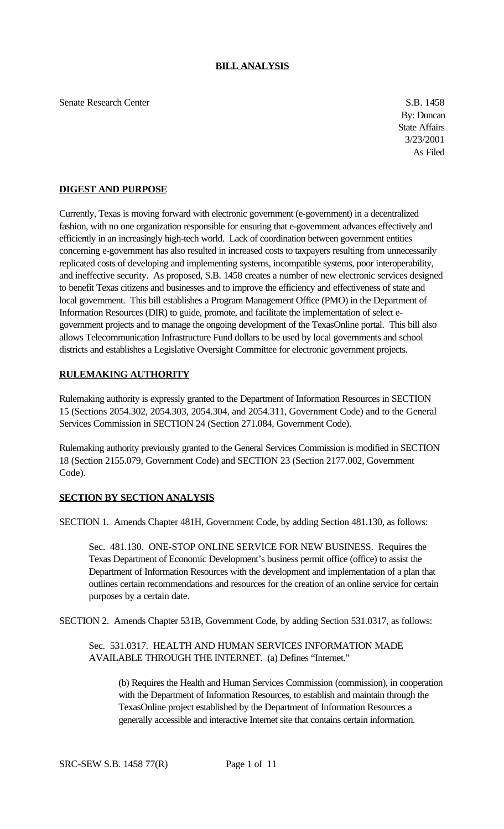Senate Research Center S.B. 1458

By: Duncan State Affairs 3/23/2001 As Filed

### **DIGEST AND PURPOSE**

Currently, Texas is moving forward with electronic government (e-government) in a decentralized fashion, with no one organization responsible for ensuring that e-government advances effectively and efficiently in an increasingly high-tech world. Lack of coordination between government entities concerning e-government has also resulted in increased costs to taxpayers resulting from unnecessarily replicated costs of developing and implementing systems, incompatible systems, poor interoperability, and ineffective security. As proposed, S.B. 1458 creates a number of new electronic services designed to benefit Texas citizens and businesses and to improve the efficiency and effectiveness of state and local government. This bill establishes a Program Management Office (PMO) in the Department of Information Resources (DIR) to guide, promote, and facilitate the implementation of select egovernment projects and to manage the ongoing development of the TexasOnline portal. This bill also allows Telecommunication Infrastructure Fund dollars to be used by local governments and school districts and establishes a Legislative Oversight Committee for electronic government projects.

## **RULEMAKING AUTHORITY**

Rulemaking authority is expressly granted to the Department of Information Resources in SECTION 15 (Sections 2054.302, 2054.303, 2054.304, and 2054.311, Government Code) and to the General Services Commission in SECTION 24 (Section 271.084, Government Code).

Rulemaking authority previously granted to the General Services Commission is modified in SECTION 18 (Section 2155.079, Government Code) and SECTION 23 (Section 2177.002, Government Code).

#### **SECTION BY SECTION ANALYSIS**

SECTION 1. Amends Chapter 481H, Government Code, by adding Section 481.130, as follows:

Sec. 481.130. ONE-STOP ONLINE SERVICE FOR NEW BUSINESS. Requires the Texas Department of Economic Development's business permit office (office) to assist the Department of Information Resources with the development and implementation of a plan that outlines certain recommendations and resources for the creation of an online service for certain purposes by a certain date.

SECTION 2. Amends Chapter 531B, Government Code, by adding Section 531.0317, as follows:

Sec. 531.0317. HEALTH AND HUMAN SERVICES INFORMATION MADE AVAILABLE THROUGH THE INTERNET. (a) Defines "Internet."

(b) Requires the Health and Human Services Commission (commission), in cooperation with the Department of Information Resources, to establish and maintain through the TexasOnline project established by the Department of Information Resources a generally accessible and interactive Internet site that contains certain information.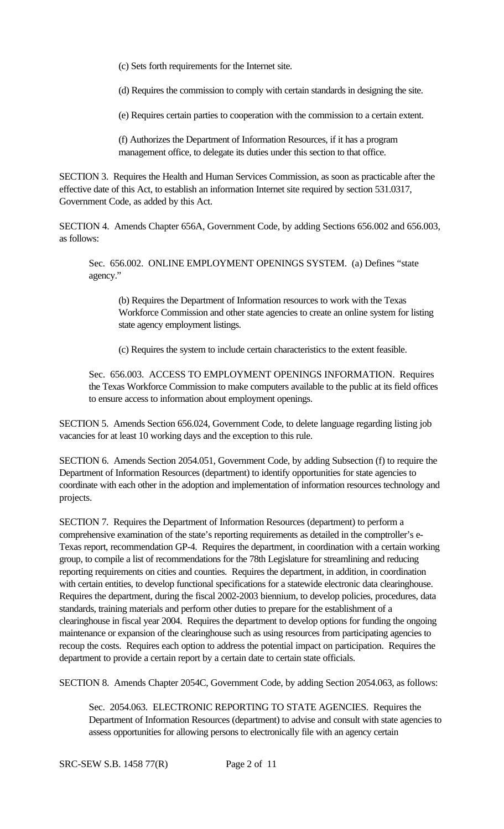(c) Sets forth requirements for the Internet site.

(d) Requires the commission to comply with certain standards in designing the site.

(e) Requires certain parties to cooperation with the commission to a certain extent.

(f) Authorizes the Department of Information Resources, if it has a program management office, to delegate its duties under this section to that office.

SECTION 3. Requires the Health and Human Services Commission, as soon as practicable after the effective date of this Act, to establish an information Internet site required by section 531.0317, Government Code, as added by this Act.

SECTION 4. Amends Chapter 656A, Government Code, by adding Sections 656.002 and 656.003, as follows:

Sec. 656.002. ONLINE EMPLOYMENT OPENINGS SYSTEM. (a) Defines "state agency."

(b) Requires the Department of Information resources to work with the Texas Workforce Commission and other state agencies to create an online system for listing state agency employment listings.

(c) Requires the system to include certain characteristics to the extent feasible.

Sec. 656.003. ACCESS TO EMPLOYMENT OPENINGS INFORMATION. Requires the Texas Workforce Commission to make computers available to the public at its field offices to ensure access to information about employment openings.

SECTION 5. Amends Section 656.024, Government Code, to delete language regarding listing job vacancies for at least 10 working days and the exception to this rule.

SECTION 6. Amends Section 2054.051, Government Code, by adding Subsection (f) to require the Department of Information Resources (department) to identify opportunities for state agencies to coordinate with each other in the adoption and implementation of information resources technology and projects.

SECTION 7. Requires the Department of Information Resources (department) to perform a comprehensive examination of the state's reporting requirements as detailed in the comptroller's e-Texas report, recommendation GP-4. Requires the department, in coordination with a certain working group, to compile a list of recommendations for the 78th Legislature for streamlining and reducing reporting requirements on cities and counties. Requires the department, in addition, in coordination with certain entities, to develop functional specifications for a statewide electronic data clearinghouse. Requires the department, during the fiscal 2002-2003 biennium, to develop policies, procedures, data standards, training materials and perform other duties to prepare for the establishment of a clearinghouse in fiscal year 2004. Requires the department to develop options for funding the ongoing maintenance or expansion of the clearinghouse such as using resources from participating agencies to recoup the costs. Requires each option to address the potential impact on participation. Requires the department to provide a certain report by a certain date to certain state officials.

SECTION 8. Amends Chapter 2054C, Government Code, by adding Section 2054.063, as follows:

Sec. 2054.063. ELECTRONIC REPORTING TO STATE AGENCIES. Requires the Department of Information Resources (department) to advise and consult with state agencies to assess opportunities for allowing persons to electronically file with an agency certain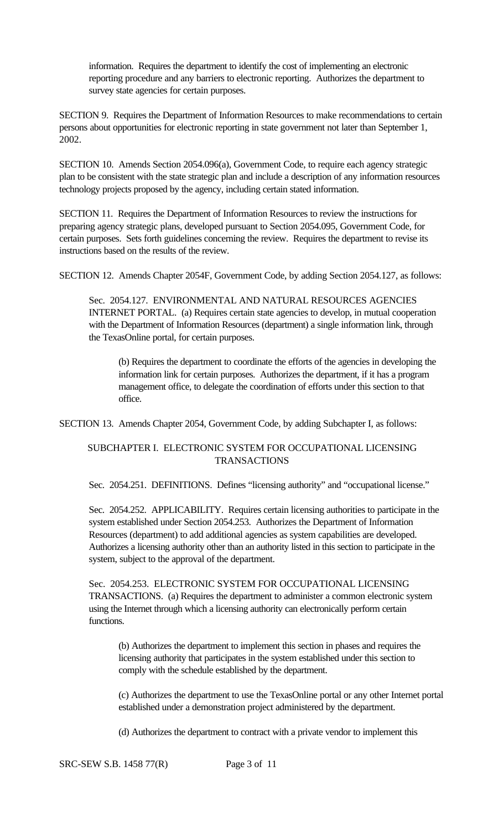information. Requires the department to identify the cost of implementing an electronic reporting procedure and any barriers to electronic reporting. Authorizes the department to survey state agencies for certain purposes.

SECTION 9. Requires the Department of Information Resources to make recommendations to certain persons about opportunities for electronic reporting in state government not later than September 1, 2002.

SECTION 10. Amends Section 2054.096(a), Government Code, to require each agency strategic plan to be consistent with the state strategic plan and include a description of any information resources technology projects proposed by the agency, including certain stated information.

SECTION 11. Requires the Department of Information Resources to review the instructions for preparing agency strategic plans, developed pursuant to Section 2054.095, Government Code, for certain purposes. Sets forth guidelines concerning the review. Requires the department to revise its instructions based on the results of the review.

SECTION 12. Amends Chapter 2054F, Government Code, by adding Section 2054.127, as follows:

Sec. 2054.127. ENVIRONMENTAL AND NATURAL RESOURCES AGENCIES INTERNET PORTAL. (a) Requires certain state agencies to develop, in mutual cooperation with the Department of Information Resources (department) a single information link, through the TexasOnline portal, for certain purposes.

(b) Requires the department to coordinate the efforts of the agencies in developing the information link for certain purposes. Authorizes the department, if it has a program management office, to delegate the coordination of efforts under this section to that office.

SECTION 13. Amends Chapter 2054, Government Code, by adding Subchapter I, as follows:

# SUBCHAPTER I. ELECTRONIC SYSTEM FOR OCCUPATIONAL LICENSING TRANSACTIONS

Sec. 2054.251. DEFINITIONS. Defines "licensing authority" and "occupational license."

Sec. 2054.252. APPLICABILITY. Requires certain licensing authorities to participate in the system established under Section 2054.253. Authorizes the Department of Information Resources (department) to add additional agencies as system capabilities are developed. Authorizes a licensing authority other than an authority listed in this section to participate in the system, subject to the approval of the department.

Sec. 2054.253. ELECTRONIC SYSTEM FOR OCCUPATIONAL LICENSING TRANSACTIONS. (a) Requires the department to administer a common electronic system using the Internet through which a licensing authority can electronically perform certain functions.

(b) Authorizes the department to implement this section in phases and requires the licensing authority that participates in the system established under this section to comply with the schedule established by the department.

(c) Authorizes the department to use the TexasOnline portal or any other Internet portal established under a demonstration project administered by the department.

(d) Authorizes the department to contract with a private vendor to implement this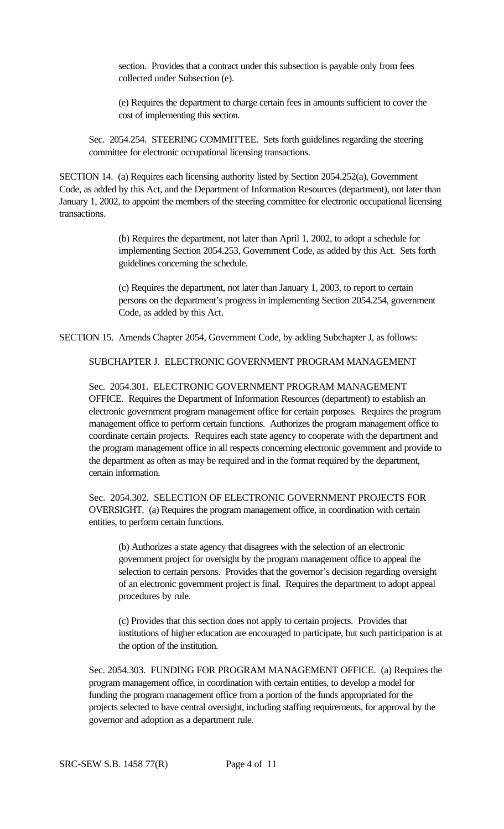section. Provides that a contract under this subsection is payable only from fees collected under Subsection (e).

(e) Requires the department to charge certain fees in amounts sufficient to cover the cost of implementing this section.

Sec. 2054.254. STEERING COMMITTEE. Sets forth guidelines regarding the steering committee for electronic occupational licensing transactions.

SECTION 14. (a) Requires each licensing authority listed by Section 2054.252(a), Government Code, as added by this Act, and the Department of Information Resources (department), not later than January 1, 2002, to appoint the members of the steering committee for electronic occupational licensing transactions.

> (b) Requires the department, not later than April 1, 2002, to adopt a schedule for implementing Section 2054.253, Government Code, as added by this Act. Sets forth guidelines concerning the schedule.

> (c) Requires the department, not later than January 1, 2003, to report to certain persons on the department's progress in implementing Section 2054.254, government Code, as added by this Act.

SECTION 15. Amends Chapter 2054, Government Code, by adding Subchapter J, as follows:

SUBCHAPTER J. ELECTRONIC GOVERNMENT PROGRAM MANAGEMENT

Sec. 2054.301. ELECTRONIC GOVERNMENT PROGRAM MANAGEMENT OFFICE. Requires the Department of Information Resources (department) to establish an electronic government program management office for certain purposes. Requires the program management office to perform certain functions. Authorizes the program management office to coordinate certain projects. Requires each state agency to cooperate with the department and the program management office in all respects concerning electronic government and provide to the department as often as may be required and in the format required by the department, certain information.

Sec. 2054.302. SELECTION OF ELECTRONIC GOVERNMENT PROJECTS FOR OVERSIGHT. (a) Requires the program management office, in coordination with certain entities, to perform certain functions.

(b) Authorizes a state agency that disagrees with the selection of an electronic government project for oversight by the program management office to appeal the selection to certain persons. Provides that the governor's decision regarding oversight of an electronic government project is final. Requires the department to adopt appeal procedures by rule.

(c) Provides that this section does not apply to certain projects. Provides that institutions of higher education are encouraged to participate, but such participation is at the option of the institution.

Sec. 2054.303. FUNDING FOR PROGRAM MANAGEMENT OFFICE. (a) Requires the program management office, in coordination with certain entities, to develop a model for funding the program management office from a portion of the funds appropriated for the projects selected to have central oversight, including staffing requirements, for approval by the governor and adoption as a department rule.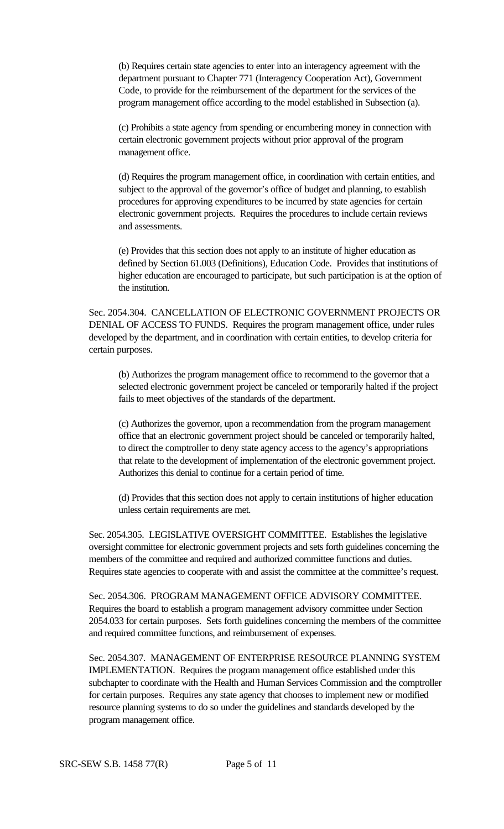(b) Requires certain state agencies to enter into an interagency agreement with the department pursuant to Chapter 771 (Interagency Cooperation Act), Government Code, to provide for the reimbursement of the department for the services of the program management office according to the model established in Subsection (a).

(c) Prohibits a state agency from spending or encumbering money in connection with certain electronic government projects without prior approval of the program management office.

(d) Requires the program management office, in coordination with certain entities, and subject to the approval of the governor's office of budget and planning, to establish procedures for approving expenditures to be incurred by state agencies for certain electronic government projects. Requires the procedures to include certain reviews and assessments.

(e) Provides that this section does not apply to an institute of higher education as defined by Section 61.003 (Definitions), Education Code. Provides that institutions of higher education are encouraged to participate, but such participation is at the option of the institution.

Sec. 2054.304. CANCELLATION OF ELECTRONIC GOVERNMENT PROJECTS OR DENIAL OF ACCESS TO FUNDS. Requires the program management office, under rules developed by the department, and in coordination with certain entities, to develop criteria for certain purposes.

(b) Authorizes the program management office to recommend to the governor that a selected electronic government project be canceled or temporarily halted if the project fails to meet objectives of the standards of the department.

(c) Authorizes the governor, upon a recommendation from the program management office that an electronic government project should be canceled or temporarily halted, to direct the comptroller to deny state agency access to the agency's appropriations that relate to the development of implementation of the electronic government project. Authorizes this denial to continue for a certain period of time.

(d) Provides that this section does not apply to certain institutions of higher education unless certain requirements are met.

Sec. 2054.305. LEGISLATIVE OVERSIGHT COMMITTEE. Establishes the legislative oversight committee for electronic government projects and sets forth guidelines concerning the members of the committee and required and authorized committee functions and duties. Requires state agencies to cooperate with and assist the committee at the committee's request.

Sec. 2054.306. PROGRAM MANAGEMENT OFFICE ADVISORY COMMITTEE. Requires the board to establish a program management advisory committee under Section 2054.033 for certain purposes. Sets forth guidelines concerning the members of the committee and required committee functions, and reimbursement of expenses.

Sec. 2054.307. MANAGEMENT OF ENTERPRISE RESOURCE PLANNING SYSTEM IMPLEMENTATION. Requires the program management office established under this subchapter to coordinate with the Health and Human Services Commission and the comptroller for certain purposes. Requires any state agency that chooses to implement new or modified resource planning systems to do so under the guidelines and standards developed by the program management office.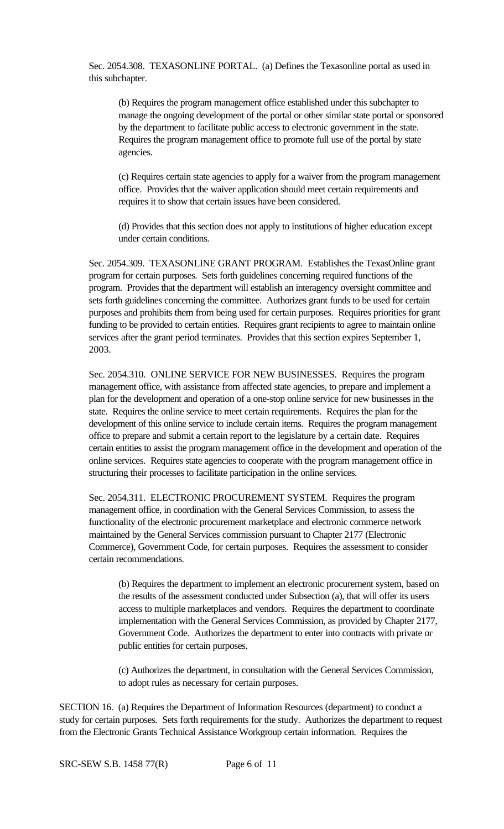Sec. 2054.308. TEXASONLINE PORTAL. (a) Defines the Texasonline portal as used in this subchapter.

(b) Requires the program management office established under this subchapter to manage the ongoing development of the portal or other similar state portal or sponsored by the department to facilitate public access to electronic government in the state. Requires the program management office to promote full use of the portal by state agencies.

(c) Requires certain state agencies to apply for a waiver from the program management office. Provides that the waiver application should meet certain requirements and requires it to show that certain issues have been considered.

(d) Provides that this section does not apply to institutions of higher education except under certain conditions.

Sec. 2054.309. TEXASONLINE GRANT PROGRAM. Establishes the TexasOnline grant program for certain purposes. Sets forth guidelines concerning required functions of the program. Provides that the department will establish an interagency oversight committee and sets forth guidelines concerning the committee. Authorizes grant funds to be used for certain purposes and prohibits them from being used for certain purposes. Requires priorities for grant funding to be provided to certain entities. Requires grant recipients to agree to maintain online services after the grant period terminates. Provides that this section expires September 1, 2003.

Sec. 2054.310. ONLINE SERVICE FOR NEW BUSINESSES. Requires the program management office, with assistance from affected state agencies, to prepare and implement a plan for the development and operation of a one-stop online service for new businesses in the state. Requires the online service to meet certain requirements. Requires the plan for the development of this online service to include certain items. Requires the program management office to prepare and submit a certain report to the legislature by a certain date. Requires certain entities to assist the program management office in the development and operation of the online services. Requires state agencies to cooperate with the program management office in structuring their processes to facilitate participation in the online services.

Sec. 2054.311. ELECTRONIC PROCUREMENT SYSTEM. Requires the program management office, in coordination with the General Services Commission, to assess the functionality of the electronic procurement marketplace and electronic commerce network maintained by the General Services commission pursuant to Chapter 2177 (Electronic Commerce), Government Code, for certain purposes. Requires the assessment to consider certain recommendations.

(b) Requires the department to implement an electronic procurement system, based on the results of the assessment conducted under Subsection (a), that will offer its users access to multiple marketplaces and vendors. Requires the department to coordinate implementation with the General Services Commission, as provided by Chapter 2177, Government Code. Authorizes the department to enter into contracts with private or public entities for certain purposes.

(c) Authorizes the department, in consultation with the General Services Commission, to adopt rules as necessary for certain purposes.

SECTION 16. (a) Requires the Department of Information Resources (department) to conduct a study for certain purposes. Sets forth requirements for the study. Authorizes the department to request from the Electronic Grants Technical Assistance Workgroup certain information. Requires the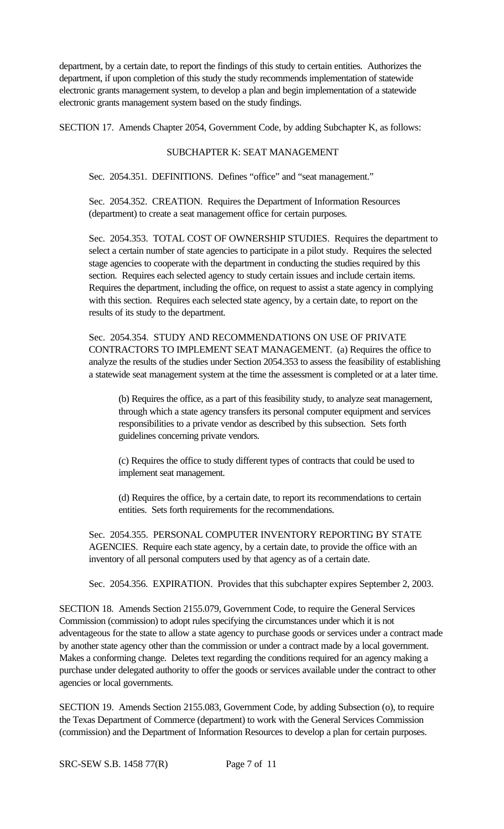department, by a certain date, to report the findings of this study to certain entities. Authorizes the department, if upon completion of this study the study recommends implementation of statewide electronic grants management system, to develop a plan and begin implementation of a statewide electronic grants management system based on the study findings.

SECTION 17. Amends Chapter 2054, Government Code, by adding Subchapter K, as follows:

## SUBCHAPTER K: SEAT MANAGEMENT

Sec. 2054.351. DEFINITIONS. Defines "office" and "seat management."

Sec. 2054.352. CREATION. Requires the Department of Information Resources (department) to create a seat management office for certain purposes.

Sec. 2054.353. TOTAL COST OF OWNERSHIP STUDIES. Requires the department to select a certain number of state agencies to participate in a pilot study. Requires the selected stage agencies to cooperate with the department in conducting the studies required by this section. Requires each selected agency to study certain issues and include certain items. Requires the department, including the office, on request to assist a state agency in complying with this section. Requires each selected state agency, by a certain date, to report on the results of its study to the department.

Sec. 2054.354. STUDY AND RECOMMENDATIONS ON USE OF PRIVATE CONTRACTORS TO IMPLEMENT SEAT MANAGEMENT. (a) Requires the office to analyze the results of the studies under Section 2054.353 to assess the feasibility of establishing a statewide seat management system at the time the assessment is completed or at a later time.

(b) Requires the office, as a part of this feasibility study, to analyze seat management, through which a state agency transfers its personal computer equipment and services responsibilities to a private vendor as described by this subsection. Sets forth guidelines concerning private vendors.

(c) Requires the office to study different types of contracts that could be used to implement seat management.

(d) Requires the office, by a certain date, to report its recommendations to certain entities. Sets forth requirements for the recommendations.

Sec. 2054.355. PERSONAL COMPUTER INVENTORY REPORTING BY STATE AGENCIES. Require each state agency, by a certain date, to provide the office with an inventory of all personal computers used by that agency as of a certain date.

Sec. 2054.356. EXPIRATION. Provides that this subchapter expires September 2, 2003.

SECTION 18. Amends Section 2155.079, Government Code, to require the General Services Commission (commission) to adopt rules specifying the circumstances under which it is not adventageous for the state to allow a state agency to purchase goods or services under a contract made by another state agency other than the commission or under a contract made by a local government. Makes a conforming change. Deletes text regarding the conditions required for an agency making a purchase under delegated authority to offer the goods or services available under the contract to other agencies or local governments.

SECTION 19. Amends Section 2155.083, Government Code, by adding Subsection (o), to require the Texas Department of Commerce (department) to work with the General Services Commission (commission) and the Department of Information Resources to develop a plan for certain purposes.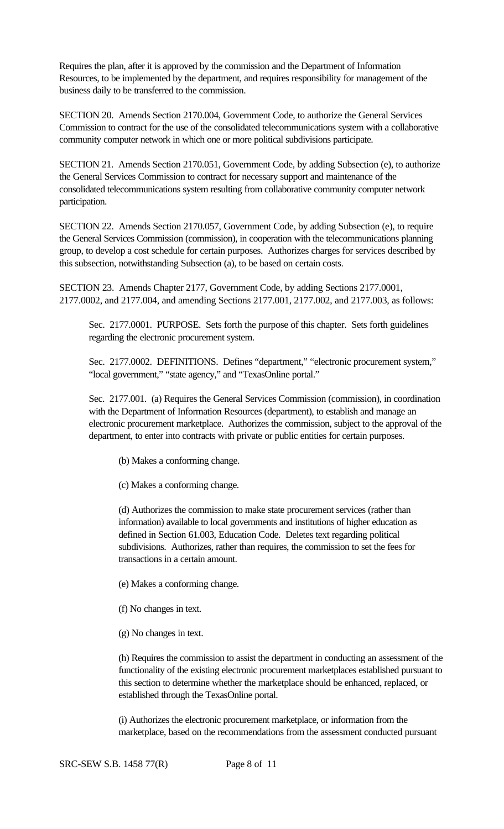Requires the plan, after it is approved by the commission and the Department of Information Resources, to be implemented by the department, and requires responsibility for management of the business daily to be transferred to the commission.

SECTION 20. Amends Section 2170.004, Government Code, to authorize the General Services Commission to contract for the use of the consolidated telecommunications system with a collaborative community computer network in which one or more political subdivisions participate.

SECTION 21. Amends Section 2170.051, Government Code, by adding Subsection (e), to authorize the General Services Commission to contract for necessary support and maintenance of the consolidated telecommunications system resulting from collaborative community computer network participation.

SECTION 22. Amends Section 2170.057, Government Code, by adding Subsection (e), to require the General Services Commission (commission), in cooperation with the telecommunications planning group, to develop a cost schedule for certain purposes. Authorizes charges for services described by this subsection, notwithstanding Subsection (a), to be based on certain costs.

SECTION 23. Amends Chapter 2177, Government Code, by adding Sections 2177.0001, 2177.0002, and 2177.004, and amending Sections 2177.001, 2177.002, and 2177.003, as follows:

Sec. 2177.0001. PURPOSE. Sets forth the purpose of this chapter. Sets forth guidelines regarding the electronic procurement system.

Sec. 2177.0002. DEFINITIONS. Defines "department," "electronic procurement system," "local government," "state agency," and "TexasOnline portal."

Sec. 2177.001. (a) Requires the General Services Commission (commission), in coordination with the Department of Information Resources (department), to establish and manage an electronic procurement marketplace. Authorizes the commission, subject to the approval of the department, to enter into contracts with private or public entities for certain purposes.

(b) Makes a conforming change.

(c) Makes a conforming change.

(d) Authorizes the commission to make state procurement services (rather than information) available to local governments and institutions of higher education as defined in Section 61.003, Education Code. Deletes text regarding political subdivisions. Authorizes, rather than requires, the commission to set the fees for transactions in a certain amount.

- (e) Makes a conforming change.
- (f) No changes in text.
- (g) No changes in text.

(h) Requires the commission to assist the department in conducting an assessment of the functionality of the existing electronic procurement marketplaces established pursuant to this section to determine whether the marketplace should be enhanced, replaced, or established through the TexasOnline portal.

(i) Authorizes the electronic procurement marketplace, or information from the marketplace, based on the recommendations from the assessment conducted pursuant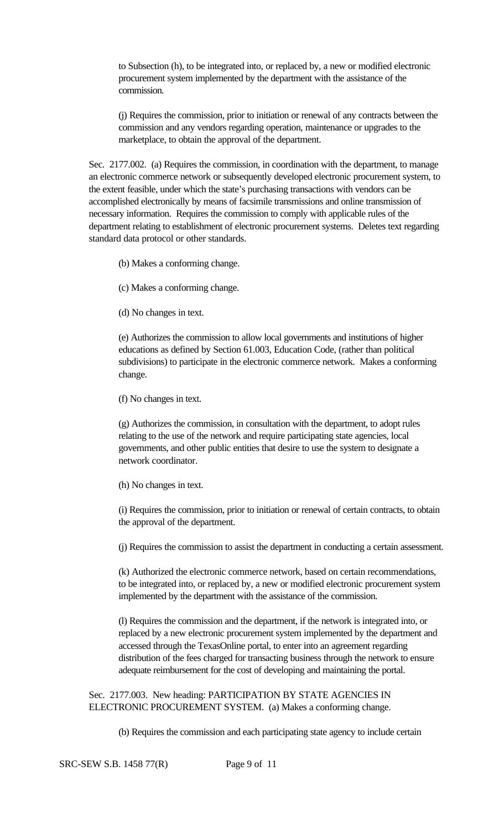to Subsection (h), to be integrated into, or replaced by, a new or modified electronic procurement system implemented by the department with the assistance of the commission.

(j) Requires the commission, prior to initiation or renewal of any contracts between the commission and any vendors regarding operation, maintenance or upgrades to the marketplace, to obtain the approval of the department.

Sec. 2177.002. (a) Requires the commission, in coordination with the department, to manage an electronic commerce network or subsequently developed electronic procurement system, to the extent feasible, under which the state's purchasing transactions with vendors can be accomplished electronically by means of facsimile transmissions and online transmission of necessary information. Requires the commission to comply with applicable rules of the department relating to establishment of electronic procurement systems. Deletes text regarding standard data protocol or other standards.

(b) Makes a conforming change.

(c) Makes a conforming change.

(d) No changes in text.

(e) Authorizes the commission to allow local governments and institutions of higher educations as defined by Section 61.003, Education Code, (rather than political subdivisions) to participate in the electronic commerce network. Makes a conforming change.

(f) No changes in text.

(g) Authorizes the commission, in consultation with the department, to adopt rules relating to the use of the network and require participating state agencies, local governments, and other public entities that desire to use the system to designate a network coordinator.

(h) No changes in text.

(i) Requires the commission, prior to initiation or renewal of certain contracts, to obtain the approval of the department.

(j) Requires the commission to assist the department in conducting a certain assessment.

(k) Authorized the electronic commerce network, based on certain recommendations, to be integrated into, or replaced by, a new or modified electronic procurement system implemented by the department with the assistance of the commission.

(l) Requires the commission and the department, if the network is integrated into, or replaced by a new electronic procurement system implemented by the department and accessed through the TexasOnline portal, to enter into an agreement regarding distribution of the fees charged for transacting business through the network to ensure adequate reimbursement for the cost of developing and maintaining the portal.

Sec. 2177.003. New heading: PARTICIPATION BY STATE AGENCIES IN ELECTRONIC PROCUREMENT SYSTEM. (a) Makes a conforming change.

(b) Requires the commission and each participating state agency to include certain

SRC-SEW S.B. 1458 77(R) Page 9 of 11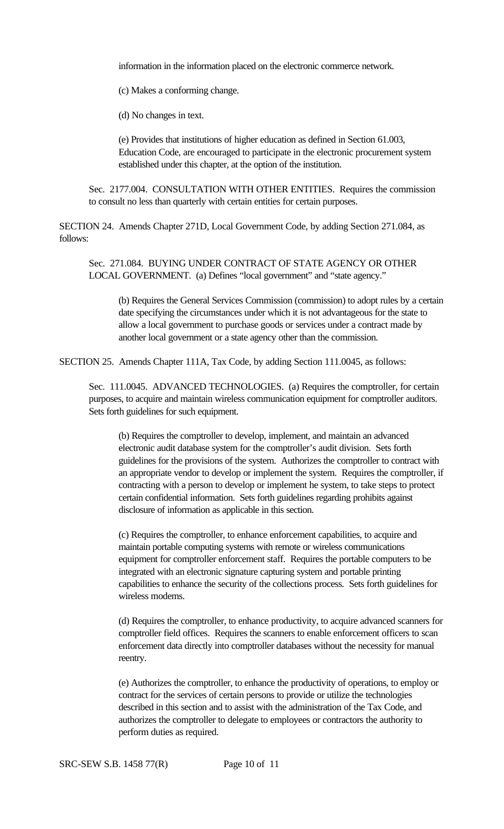information in the information placed on the electronic commerce network.

(c) Makes a conforming change.

(d) No changes in text.

(e) Provides that institutions of higher education as defined in Section 61.003, Education Code, are encouraged to participate in the electronic procurement system established under this chapter, at the option of the institution.

Sec. 2177.004. CONSULTATION WITH OTHER ENTITIES. Requires the commission to consult no less than quarterly with certain entities for certain purposes.

SECTION 24. Amends Chapter 271D, Local Government Code, by adding Section 271.084, as follows:

Sec. 271.084. BUYING UNDER CONTRACT OF STATE AGENCY OR OTHER LOCAL GOVERNMENT. (a) Defines "local government" and "state agency."

(b) Requires the General Services Commission (commission) to adopt rules by a certain date specifying the circumstances under which it is not advantageous for the state to allow a local government to purchase goods or services under a contract made by another local government or a state agency other than the commission.

SECTION 25. Amends Chapter 111A, Tax Code, by adding Section 111.0045, as follows:

Sec. 111.0045. ADVANCED TECHNOLOGIES. (a) Requires the comptroller, for certain purposes, to acquire and maintain wireless communication equipment for comptroller auditors. Sets forth guidelines for such equipment.

(b) Requires the comptroller to develop, implement, and maintain an advanced electronic audit database system for the comptroller's audit division. Sets forth guidelines for the provisions of the system. Authorizes the comptroller to contract with an appropriate vendor to develop or implement the system. Requires the comptroller, if contracting with a person to develop or implement he system, to take steps to protect certain confidential information. Sets forth guidelines regarding prohibits against disclosure of information as applicable in this section.

(c) Requires the comptroller, to enhance enforcement capabilities, to acquire and maintain portable computing systems with remote or wireless communications equipment for comptroller enforcement staff. Requires the portable computers to be integrated with an electronic signature capturing system and portable printing capabilities to enhance the security of the collections process. Sets forth guidelines for wireless modems.

(d) Requires the comptroller, to enhance productivity, to acquire advanced scanners for comptroller field offices. Requires the scanners to enable enforcement officers to scan enforcement data directly into comptroller databases without the necessity for manual reentry.

(e) Authorizes the comptroller, to enhance the productivity of operations, to employ or contract for the services of certain persons to provide or utilize the technologies described in this section and to assist with the administration of the Tax Code, and authorizes the comptroller to delegate to employees or contractors the authority to perform duties as required.